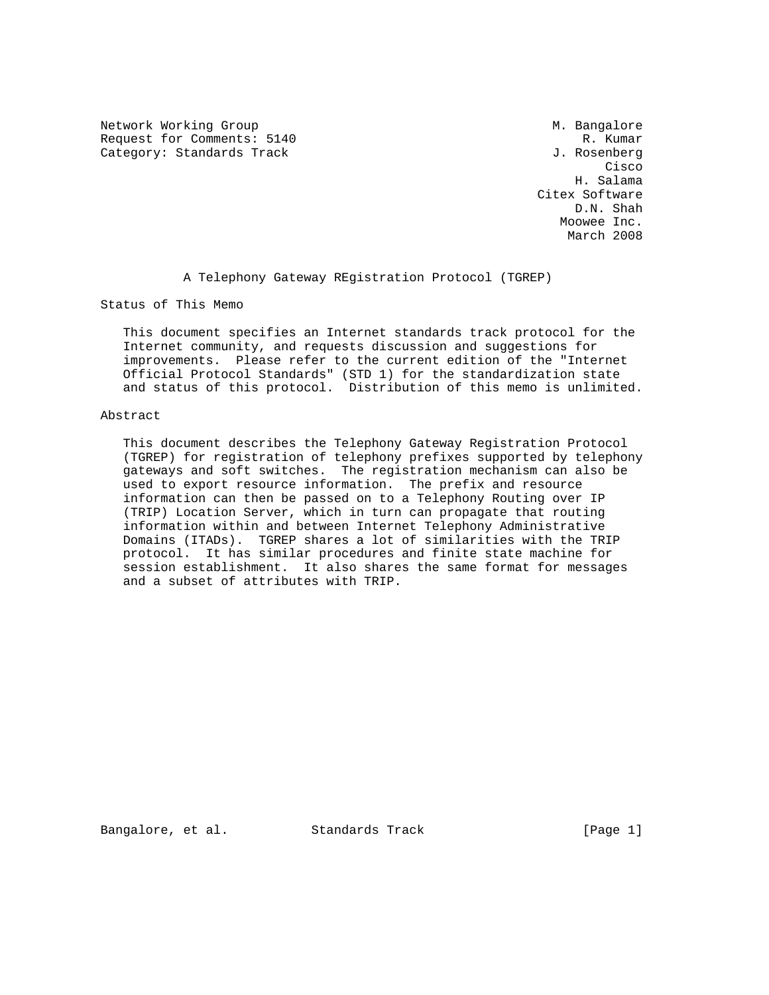Network Working Group Metwork Months and Metwork Metwork Metwork Metal Metal Metal Metal Metal Metal Metal Metal Metal Metal Metal Metal Metal Metal Metal Metal Metal Metal Metal Metal Metal Metal Metal Metal Metal Metal M Request for Comments: 5140 R. Kumar Category: Standards Track Gategory: Standards Track J. Rosenberg

**Cisco de la contrata de la contrata de la contrata de la contrata de la contrata de la contrata de la contrat**  H. Salama Citex Software D.N. Shah Moowee Inc. March 2008

A Telephony Gateway REgistration Protocol (TGREP)

Status of This Memo

 This document specifies an Internet standards track protocol for the Internet community, and requests discussion and suggestions for improvements. Please refer to the current edition of the "Internet Official Protocol Standards" (STD 1) for the standardization state and status of this protocol. Distribution of this memo is unlimited.

### Abstract

 This document describes the Telephony Gateway Registration Protocol (TGREP) for registration of telephony prefixes supported by telephony gateways and soft switches. The registration mechanism can also be used to export resource information. The prefix and resource information can then be passed on to a Telephony Routing over IP (TRIP) Location Server, which in turn can propagate that routing information within and between Internet Telephony Administrative Domains (ITADs). TGREP shares a lot of similarities with the TRIP protocol. It has similar procedures and finite state machine for session establishment. It also shares the same format for messages and a subset of attributes with TRIP.

Bangalore, et al. Standards Track [Page 1]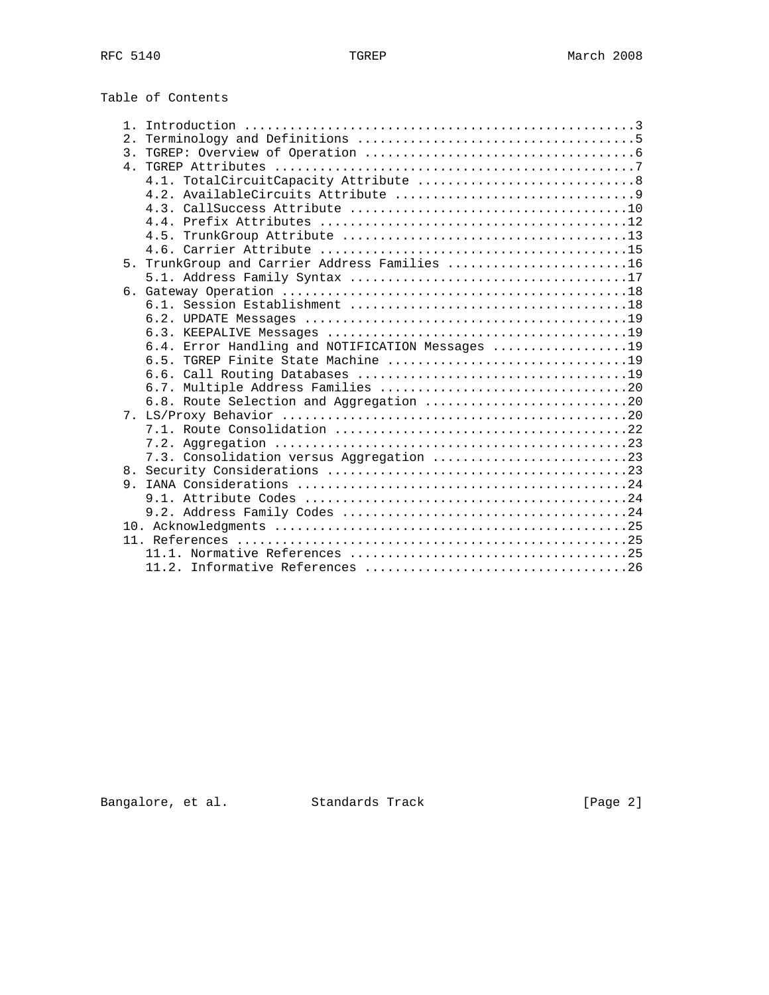| Table of Contents |  |
|-------------------|--|
|-------------------|--|

| $1$ . |                                                  |
|-------|--------------------------------------------------|
| 2.1   |                                                  |
|       |                                                  |
|       |                                                  |
|       |                                                  |
|       |                                                  |
|       |                                                  |
|       |                                                  |
|       |                                                  |
|       |                                                  |
|       | 5. TrunkGroup and Carrier Address Families 16    |
|       |                                                  |
|       |                                                  |
|       |                                                  |
|       |                                                  |
|       |                                                  |
|       | 6.4. Error Handling and NOTIFICATION Messages 19 |
|       |                                                  |
|       |                                                  |
|       |                                                  |
|       | 6.8. Route Selection and Aggregation 20          |
|       |                                                  |
|       |                                                  |
|       |                                                  |
|       | 7.3. Consolidation versus Aggregation 23         |
|       |                                                  |
|       |                                                  |
|       |                                                  |
|       |                                                  |
|       |                                                  |
|       |                                                  |
|       |                                                  |
|       |                                                  |

Bangalore, et al. Standards Track [Page 2]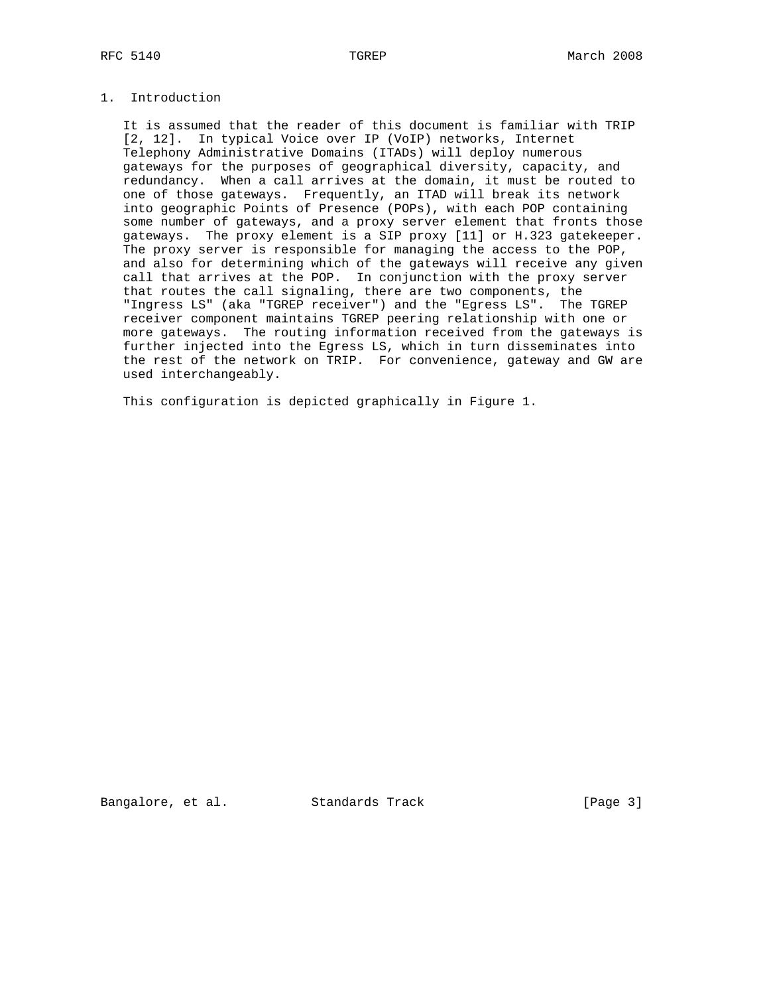# 1. Introduction

 It is assumed that the reader of this document is familiar with TRIP [2, 12]. In typical Voice over IP (VoIP) networks, Internet Telephony Administrative Domains (ITADs) will deploy numerous gateways for the purposes of geographical diversity, capacity, and redundancy. When a call arrives at the domain, it must be routed to one of those gateways. Frequently, an ITAD will break its network into geographic Points of Presence (POPs), with each POP containing some number of gateways, and a proxy server element that fronts those gateways. The proxy element is a SIP proxy [11] or H.323 gatekeeper. The proxy server is responsible for managing the access to the POP, and also for determining which of the gateways will receive any given call that arrives at the POP. In conjunction with the proxy server that routes the call signaling, there are two components, the "Ingress LS" (aka "TGREP receiver") and the "Egress LS". The TGREP receiver component maintains TGREP peering relationship with one or more gateways. The routing information received from the gateways is further injected into the Egress LS, which in turn disseminates into the rest of the network on TRIP. For convenience, gateway and GW are used interchangeably.

This configuration is depicted graphically in Figure 1.

Bangalore, et al. Standards Track [Page 3]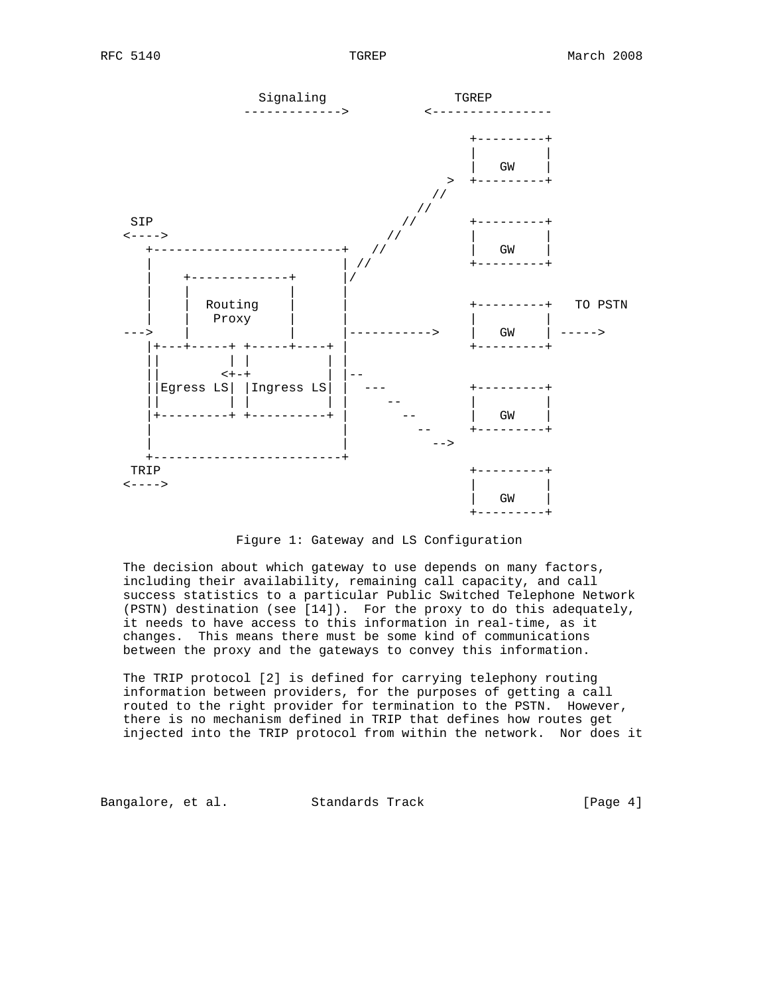

Figure 1: Gateway and LS Configuration

 The decision about which gateway to use depends on many factors, including their availability, remaining call capacity, and call success statistics to a particular Public Switched Telephone Network (PSTN) destination (see [14]). For the proxy to do this adequately, it needs to have access to this information in real-time, as it changes. This means there must be some kind of communications between the proxy and the gateways to convey this information.

 The TRIP protocol [2] is defined for carrying telephony routing information between providers, for the purposes of getting a call routed to the right provider for termination to the PSTN. However, there is no mechanism defined in TRIP that defines how routes get injected into the TRIP protocol from within the network. Nor does it

Bangalore, et al. Standards Track [Page 4]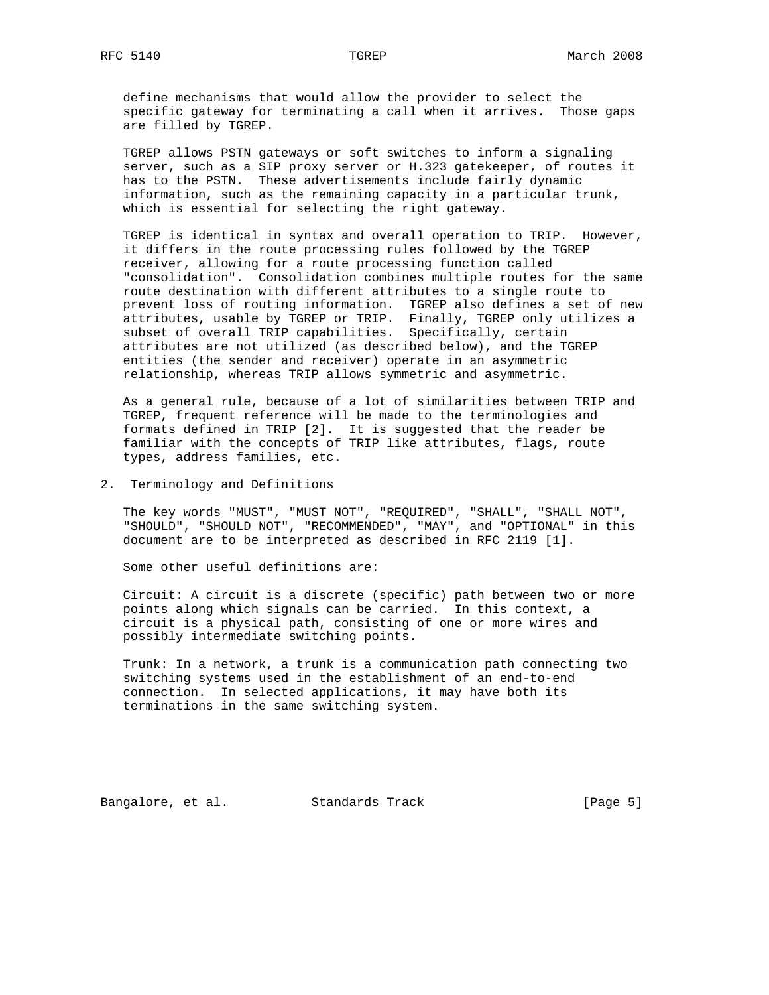define mechanisms that would allow the provider to select the specific gateway for terminating a call when it arrives. Those gaps are filled by TGREP.

 TGREP allows PSTN gateways or soft switches to inform a signaling server, such as a SIP proxy server or H.323 gatekeeper, of routes it has to the PSTN. These advertisements include fairly dynamic information, such as the remaining capacity in a particular trunk, which is essential for selecting the right gateway.

 TGREP is identical in syntax and overall operation to TRIP. However, it differs in the route processing rules followed by the TGREP receiver, allowing for a route processing function called "consolidation". Consolidation combines multiple routes for the same route destination with different attributes to a single route to prevent loss of routing information. TGREP also defines a set of new attributes, usable by TGREP or TRIP. Finally, TGREP only utilizes a subset of overall TRIP capabilities. Specifically, certain attributes are not utilized (as described below), and the TGREP entities (the sender and receiver) operate in an asymmetric relationship, whereas TRIP allows symmetric and asymmetric.

 As a general rule, because of a lot of similarities between TRIP and TGREP, frequent reference will be made to the terminologies and formats defined in TRIP [2]. It is suggested that the reader be familiar with the concepts of TRIP like attributes, flags, route types, address families, etc.

2. Terminology and Definitions

 The key words "MUST", "MUST NOT", "REQUIRED", "SHALL", "SHALL NOT", "SHOULD", "SHOULD NOT", "RECOMMENDED", "MAY", and "OPTIONAL" in this document are to be interpreted as described in RFC 2119 [1].

Some other useful definitions are:

 Circuit: A circuit is a discrete (specific) path between two or more points along which signals can be carried. In this context, a circuit is a physical path, consisting of one or more wires and possibly intermediate switching points.

 Trunk: In a network, a trunk is a communication path connecting two switching systems used in the establishment of an end-to-end connection. In selected applications, it may have both its terminations in the same switching system.

Bangalore, et al. Standards Track [Page 5]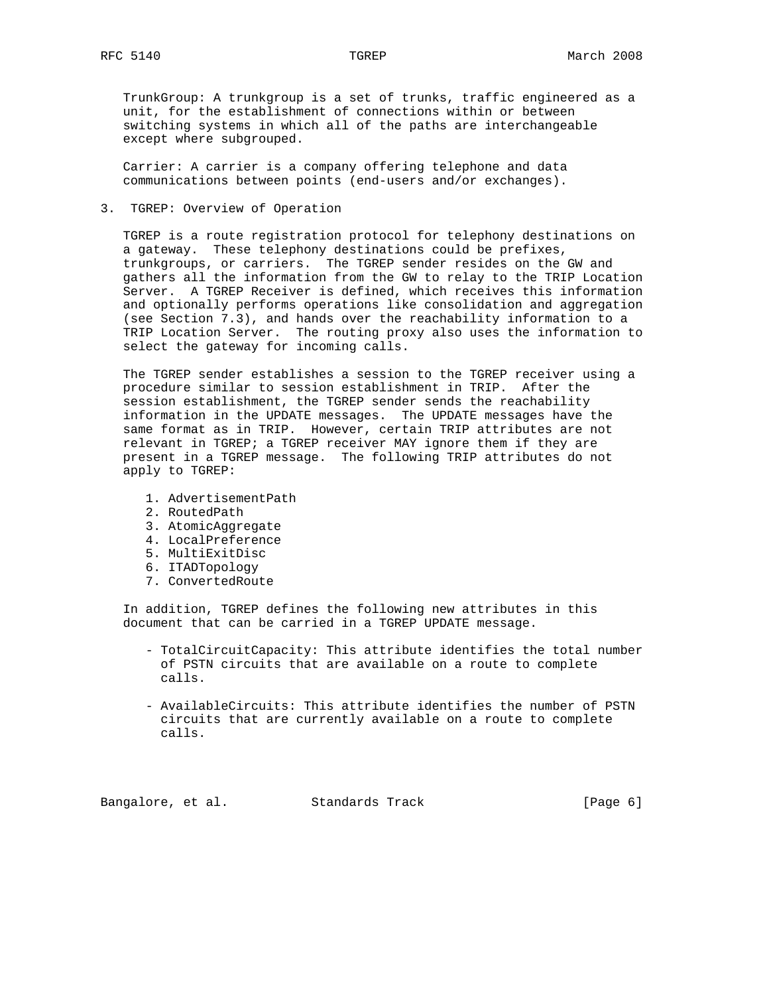TrunkGroup: A trunkgroup is a set of trunks, traffic engineered as a unit, for the establishment of connections within or between switching systems in which all of the paths are interchangeable except where subgrouped.

 Carrier: A carrier is a company offering telephone and data communications between points (end-users and/or exchanges).

3. TGREP: Overview of Operation

 TGREP is a route registration protocol for telephony destinations on a gateway. These telephony destinations could be prefixes, trunkgroups, or carriers. The TGREP sender resides on the GW and gathers all the information from the GW to relay to the TRIP Location Server. A TGREP Receiver is defined, which receives this information and optionally performs operations like consolidation and aggregation (see Section 7.3), and hands over the reachability information to a TRIP Location Server. The routing proxy also uses the information to select the gateway for incoming calls.

 The TGREP sender establishes a session to the TGREP receiver using a procedure similar to session establishment in TRIP. After the session establishment, the TGREP sender sends the reachability information in the UPDATE messages. The UPDATE messages have the same format as in TRIP. However, certain TRIP attributes are not relevant in TGREP; a TGREP receiver MAY ignore them if they are present in a TGREP message. The following TRIP attributes do not apply to TGREP:

- 1. AdvertisementPath
- 2. RoutedPath
- 3. AtomicAggregate
- 4. LocalPreference
- 5. MultiExitDisc
- 6. ITADTopology
- 7. ConvertedRoute

 In addition, TGREP defines the following new attributes in this document that can be carried in a TGREP UPDATE message.

- TotalCircuitCapacity: This attribute identifies the total number of PSTN circuits that are available on a route to complete calls.
- AvailableCircuits: This attribute identifies the number of PSTN circuits that are currently available on a route to complete calls.

Bangalore, et al. Standards Track [Page 6]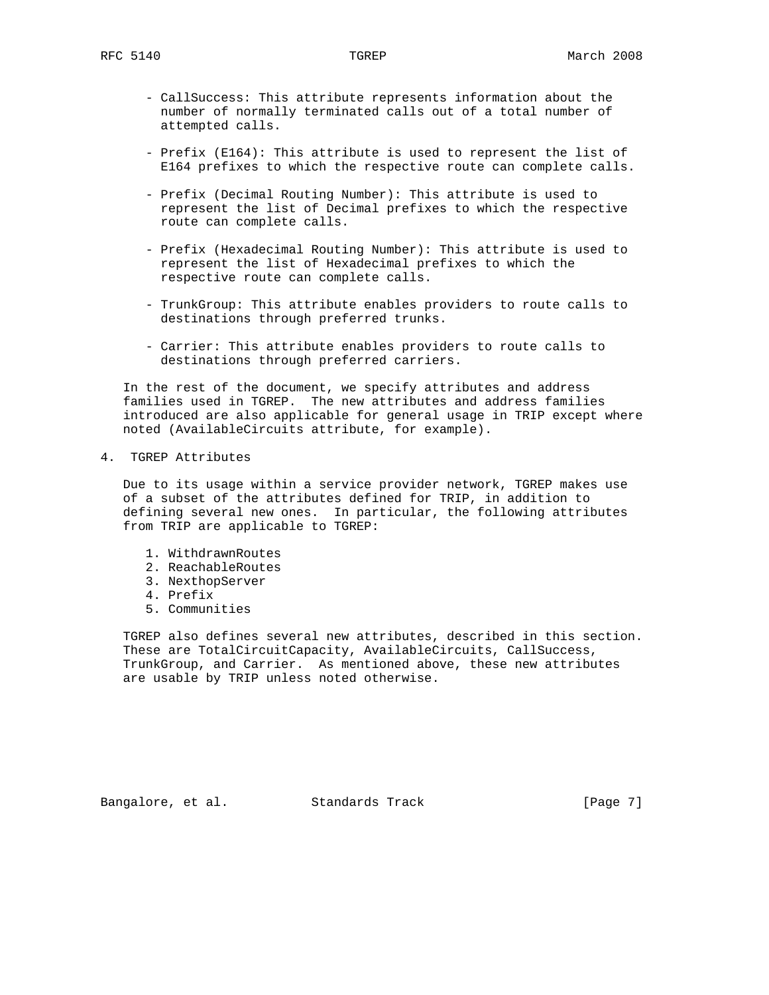- CallSuccess: This attribute represents information about the number of normally terminated calls out of a total number of attempted calls.
- Prefix (E164): This attribute is used to represent the list of E164 prefixes to which the respective route can complete calls.
- Prefix (Decimal Routing Number): This attribute is used to represent the list of Decimal prefixes to which the respective route can complete calls.
- Prefix (Hexadecimal Routing Number): This attribute is used to represent the list of Hexadecimal prefixes to which the respective route can complete calls.
- TrunkGroup: This attribute enables providers to route calls to destinations through preferred trunks.
- Carrier: This attribute enables providers to route calls to destinations through preferred carriers.

 In the rest of the document, we specify attributes and address families used in TGREP. The new attributes and address families introduced are also applicable for general usage in TRIP except where noted (AvailableCircuits attribute, for example).

4. TGREP Attributes

 Due to its usage within a service provider network, TGREP makes use of a subset of the attributes defined for TRIP, in addition to defining several new ones. In particular, the following attributes from TRIP are applicable to TGREP:

- 1. WithdrawnRoutes
- 2. ReachableRoutes
- 3. NexthopServer
- 4. Prefix
- 5. Communities

 TGREP also defines several new attributes, described in this section. These are TotalCircuitCapacity, AvailableCircuits, CallSuccess, TrunkGroup, and Carrier. As mentioned above, these new attributes are usable by TRIP unless noted otherwise.

Bangalore, et al. Standards Track [Page 7]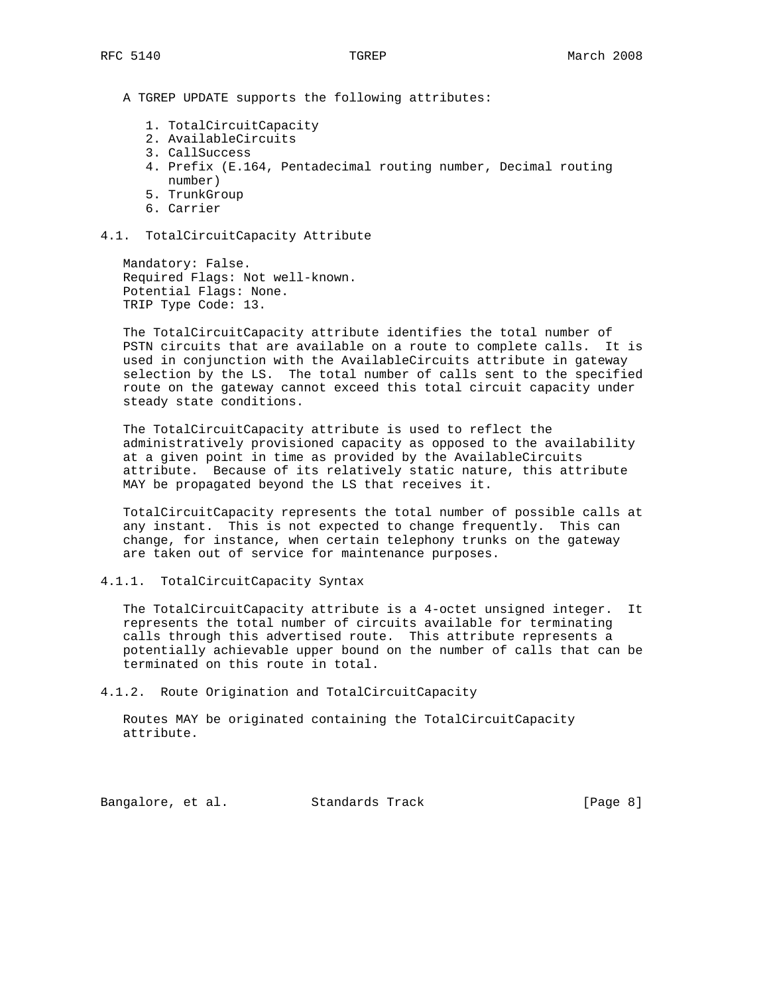A TGREP UPDATE supports the following attributes:

- 1. TotalCircuitCapacity
- 2. AvailableCircuits
- 3. CallSuccess
- 4. Prefix (E.164, Pentadecimal routing number, Decimal routing number)
- 5. TrunkGroup
- 6. Carrier
- 4.1. TotalCircuitCapacity Attribute

 Mandatory: False. Required Flags: Not well-known. Potential Flags: None. TRIP Type Code: 13.

 The TotalCircuitCapacity attribute identifies the total number of PSTN circuits that are available on a route to complete calls. It is used in conjunction with the AvailableCircuits attribute in gateway selection by the LS. The total number of calls sent to the specified route on the gateway cannot exceed this total circuit capacity under steady state conditions.

 The TotalCircuitCapacity attribute is used to reflect the administratively provisioned capacity as opposed to the availability at a given point in time as provided by the AvailableCircuits attribute. Because of its relatively static nature, this attribute MAY be propagated beyond the LS that receives it.

 TotalCircuitCapacity represents the total number of possible calls at any instant. This is not expected to change frequently. This can change, for instance, when certain telephony trunks on the gateway are taken out of service for maintenance purposes.

## 4.1.1. TotalCircuitCapacity Syntax

 The TotalCircuitCapacity attribute is a 4-octet unsigned integer. It represents the total number of circuits available for terminating calls through this advertised route. This attribute represents a potentially achievable upper bound on the number of calls that can be terminated on this route in total.

4.1.2. Route Origination and TotalCircuitCapacity

 Routes MAY be originated containing the TotalCircuitCapacity attribute.

Bangalore, et al. Standards Track [Page 8]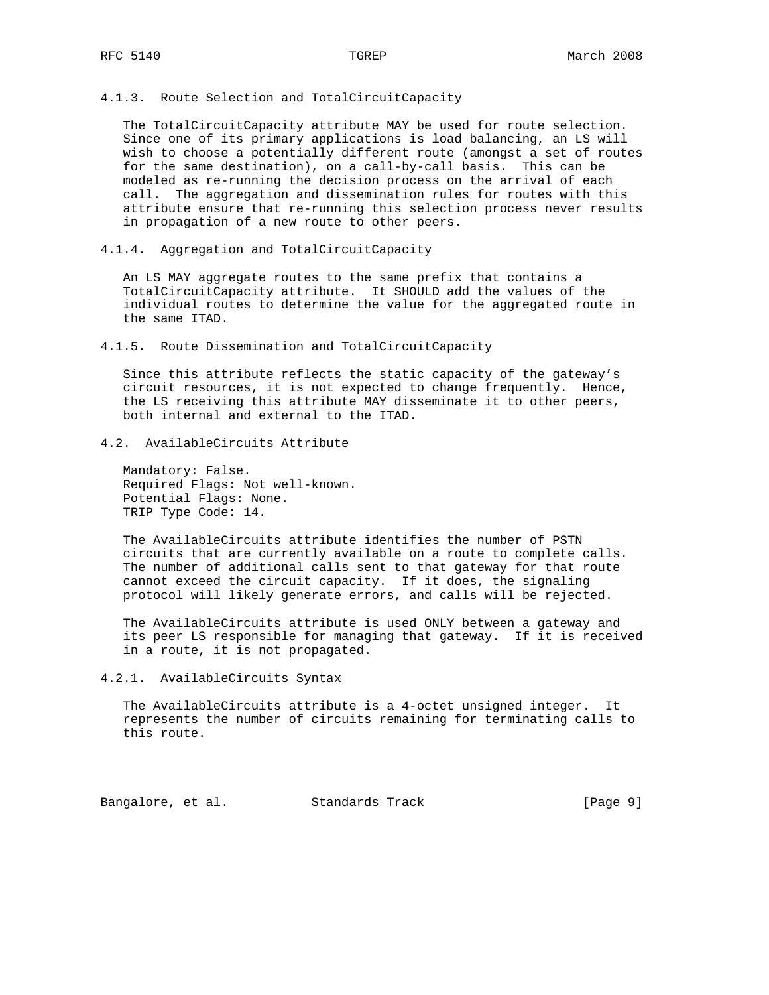4.1.3. Route Selection and TotalCircuitCapacity

 The TotalCircuitCapacity attribute MAY be used for route selection. Since one of its primary applications is load balancing, an LS will wish to choose a potentially different route (amongst a set of routes for the same destination), on a call-by-call basis. This can be modeled as re-running the decision process on the arrival of each call. The aggregation and dissemination rules for routes with this attribute ensure that re-running this selection process never results in propagation of a new route to other peers.

4.1.4. Aggregation and TotalCircuitCapacity

 An LS MAY aggregate routes to the same prefix that contains a TotalCircuitCapacity attribute. It SHOULD add the values of the individual routes to determine the value for the aggregated route in the same ITAD.

4.1.5. Route Dissemination and TotalCircuitCapacity

 Since this attribute reflects the static capacity of the gateway's circuit resources, it is not expected to change frequently. Hence, the LS receiving this attribute MAY disseminate it to other peers, both internal and external to the ITAD.

# 4.2. AvailableCircuits Attribute

 Mandatory: False. Required Flags: Not well-known. Potential Flags: None. TRIP Type Code: 14.

 The AvailableCircuits attribute identifies the number of PSTN circuits that are currently available on a route to complete calls. The number of additional calls sent to that gateway for that route cannot exceed the circuit capacity. If it does, the signaling protocol will likely generate errors, and calls will be rejected.

 The AvailableCircuits attribute is used ONLY between a gateway and its peer LS responsible for managing that gateway. If it is received in a route, it is not propagated.

4.2.1. AvailableCircuits Syntax

 The AvailableCircuits attribute is a 4-octet unsigned integer. It represents the number of circuits remaining for terminating calls to this route.

Bangalore, et al. Standards Track [Page 9]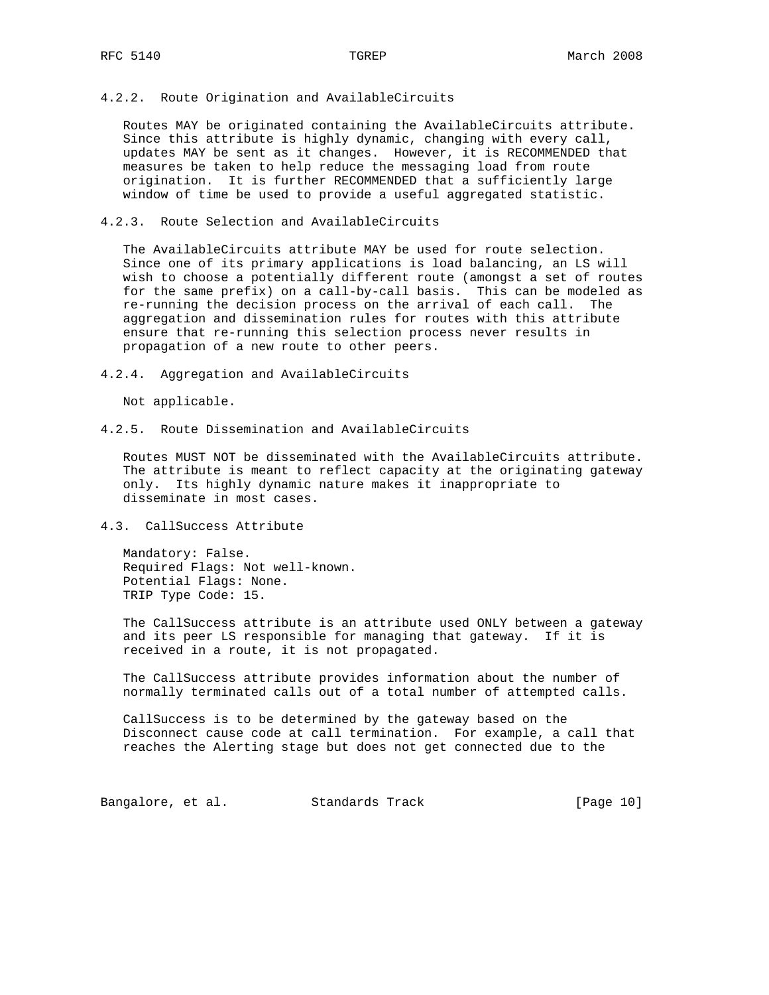### 4.2.2. Route Origination and AvailableCircuits

 Routes MAY be originated containing the AvailableCircuits attribute. Since this attribute is highly dynamic, changing with every call, updates MAY be sent as it changes. However, it is RECOMMENDED that measures be taken to help reduce the messaging load from route origination. It is further RECOMMENDED that a sufficiently large window of time be used to provide a useful aggregated statistic.

### 4.2.3. Route Selection and AvailableCircuits

 The AvailableCircuits attribute MAY be used for route selection. Since one of its primary applications is load balancing, an LS will wish to choose a potentially different route (amongst a set of routes for the same prefix) on a call-by-call basis. This can be modeled as re-running the decision process on the arrival of each call. The aggregation and dissemination rules for routes with this attribute ensure that re-running this selection process never results in propagation of a new route to other peers.

4.2.4. Aggregation and AvailableCircuits

Not applicable.

4.2.5. Route Dissemination and AvailableCircuits

 Routes MUST NOT be disseminated with the AvailableCircuits attribute. The attribute is meant to reflect capacity at the originating gateway only. Its highly dynamic nature makes it inappropriate to disseminate in most cases.

## 4.3. CallSuccess Attribute

 Mandatory: False. Required Flags: Not well-known. Potential Flags: None. TRIP Type Code: 15.

 The CallSuccess attribute is an attribute used ONLY between a gateway and its peer LS responsible for managing that gateway. If it is received in a route, it is not propagated.

 The CallSuccess attribute provides information about the number of normally terminated calls out of a total number of attempted calls.

 CallSuccess is to be determined by the gateway based on the Disconnect cause code at call termination. For example, a call that reaches the Alerting stage but does not get connected due to the

Bangalore, et al. Standards Track [Page 10]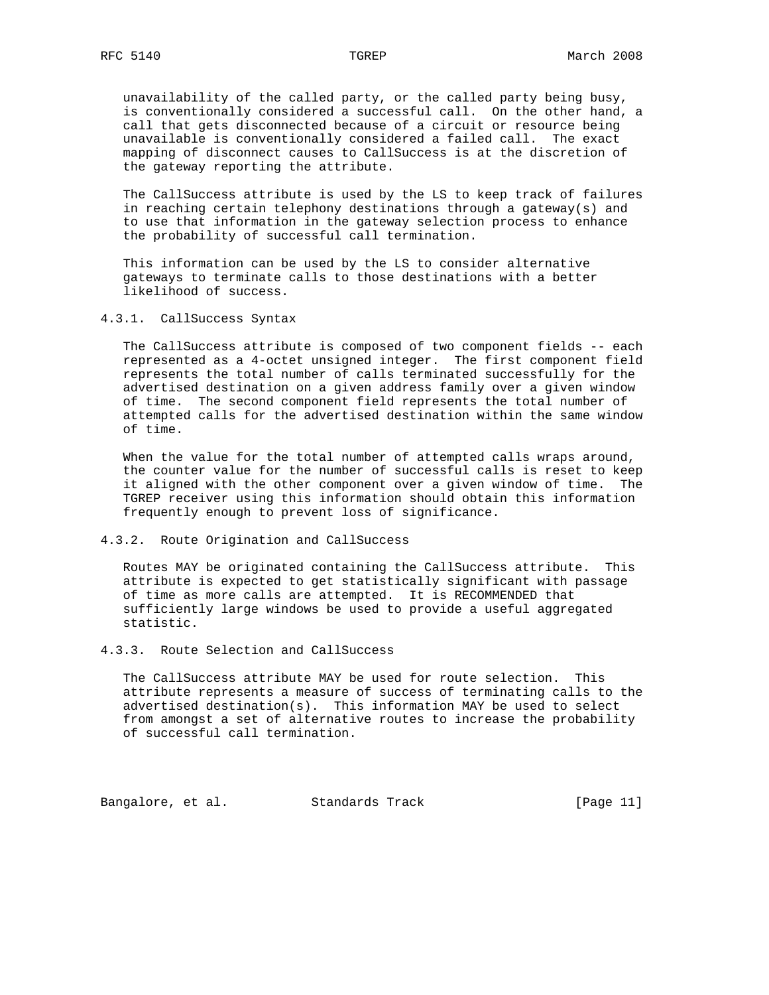unavailability of the called party, or the called party being busy, is conventionally considered a successful call. On the other hand, a call that gets disconnected because of a circuit or resource being unavailable is conventionally considered a failed call. The exact mapping of disconnect causes to CallSuccess is at the discretion of the gateway reporting the attribute.

 The CallSuccess attribute is used by the LS to keep track of failures in reaching certain telephony destinations through a gateway(s) and to use that information in the gateway selection process to enhance the probability of successful call termination.

 This information can be used by the LS to consider alternative gateways to terminate calls to those destinations with a better likelihood of success.

4.3.1. CallSuccess Syntax

 The CallSuccess attribute is composed of two component fields -- each represented as a 4-octet unsigned integer. The first component field represents the total number of calls terminated successfully for the advertised destination on a given address family over a given window of time. The second component field represents the total number of attempted calls for the advertised destination within the same window of time.

 When the value for the total number of attempted calls wraps around, the counter value for the number of successful calls is reset to keep it aligned with the other component over a given window of time. The TGREP receiver using this information should obtain this information frequently enough to prevent loss of significance.

4.3.2. Route Origination and CallSuccess

 Routes MAY be originated containing the CallSuccess attribute. This attribute is expected to get statistically significant with passage of time as more calls are attempted. It is RECOMMENDED that sufficiently large windows be used to provide a useful aggregated statistic.

4.3.3. Route Selection and CallSuccess

 The CallSuccess attribute MAY be used for route selection. This attribute represents a measure of success of terminating calls to the advertised destination(s). This information MAY be used to select from amongst a set of alternative routes to increase the probability of successful call termination.

Bangalore, et al. Standards Track [Page 11]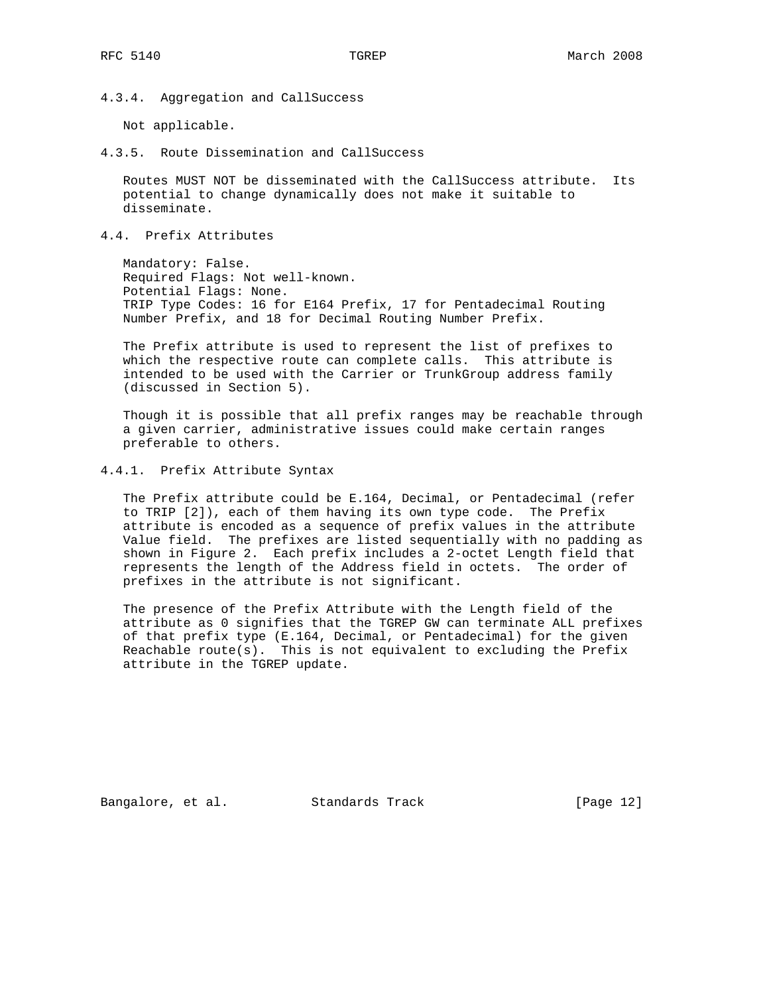4.3.4. Aggregation and CallSuccess

Not applicable.

4.3.5. Route Dissemination and CallSuccess

 Routes MUST NOT be disseminated with the CallSuccess attribute. Its potential to change dynamically does not make it suitable to disseminate.

4.4. Prefix Attributes

 Mandatory: False. Required Flags: Not well-known. Potential Flags: None. TRIP Type Codes: 16 for E164 Prefix, 17 for Pentadecimal Routing Number Prefix, and 18 for Decimal Routing Number Prefix.

 The Prefix attribute is used to represent the list of prefixes to which the respective route can complete calls. This attribute is intended to be used with the Carrier or TrunkGroup address family (discussed in Section 5).

 Though it is possible that all prefix ranges may be reachable through a given carrier, administrative issues could make certain ranges preferable to others.

4.4.1. Prefix Attribute Syntax

 The Prefix attribute could be E.164, Decimal, or Pentadecimal (refer to TRIP [2]), each of them having its own type code. The Prefix attribute is encoded as a sequence of prefix values in the attribute Value field. The prefixes are listed sequentially with no padding as shown in Figure 2. Each prefix includes a 2-octet Length field that represents the length of the Address field in octets. The order of prefixes in the attribute is not significant.

 The presence of the Prefix Attribute with the Length field of the attribute as 0 signifies that the TGREP GW can terminate ALL prefixes of that prefix type (E.164, Decimal, or Pentadecimal) for the given Reachable route(s). This is not equivalent to excluding the Prefix attribute in the TGREP update.

Bangalore, et al. Standards Track [Page 12]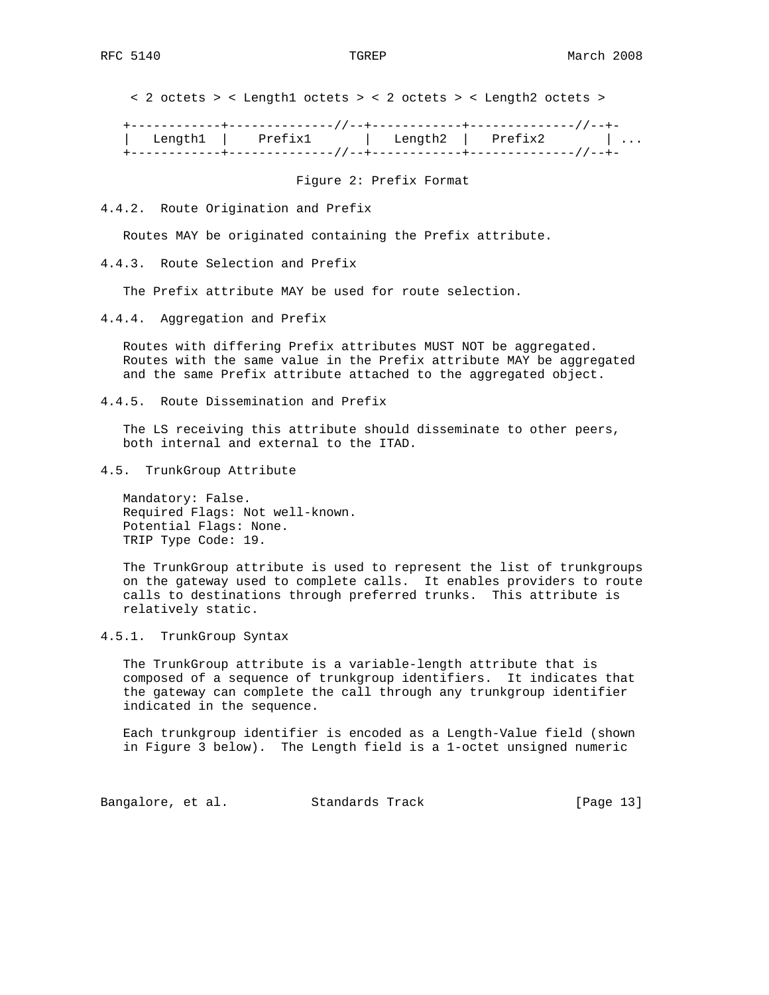< 2 octets > < Length1 octets > < 2 octets > < Length2 octets >

 +------------+--------------//--+------------+--------------//--+- | Length1 | Prefix1 | Length2 | Prefix2 | ... +------------+--------------//--+------------+--------------//--+-

Figure 2: Prefix Format

4.4.2. Route Origination and Prefix

Routes MAY be originated containing the Prefix attribute.

4.4.3. Route Selection and Prefix

The Prefix attribute MAY be used for route selection.

4.4.4. Aggregation and Prefix

 Routes with differing Prefix attributes MUST NOT be aggregated. Routes with the same value in the Prefix attribute MAY be aggregated and the same Prefix attribute attached to the aggregated object.

4.4.5. Route Dissemination and Prefix

 The LS receiving this attribute should disseminate to other peers, both internal and external to the ITAD.

4.5. TrunkGroup Attribute

 Mandatory: False. Required Flags: Not well-known. Potential Flags: None. TRIP Type Code: 19.

 The TrunkGroup attribute is used to represent the list of trunkgroups on the gateway used to complete calls. It enables providers to route calls to destinations through preferred trunks. This attribute is relatively static.

4.5.1. TrunkGroup Syntax

 The TrunkGroup attribute is a variable-length attribute that is composed of a sequence of trunkgroup identifiers. It indicates that the gateway can complete the call through any trunkgroup identifier indicated in the sequence.

 Each trunkgroup identifier is encoded as a Length-Value field (shown in Figure 3 below). The Length field is a 1-octet unsigned numeric

Bangalore, et al. Standards Track [Page 13]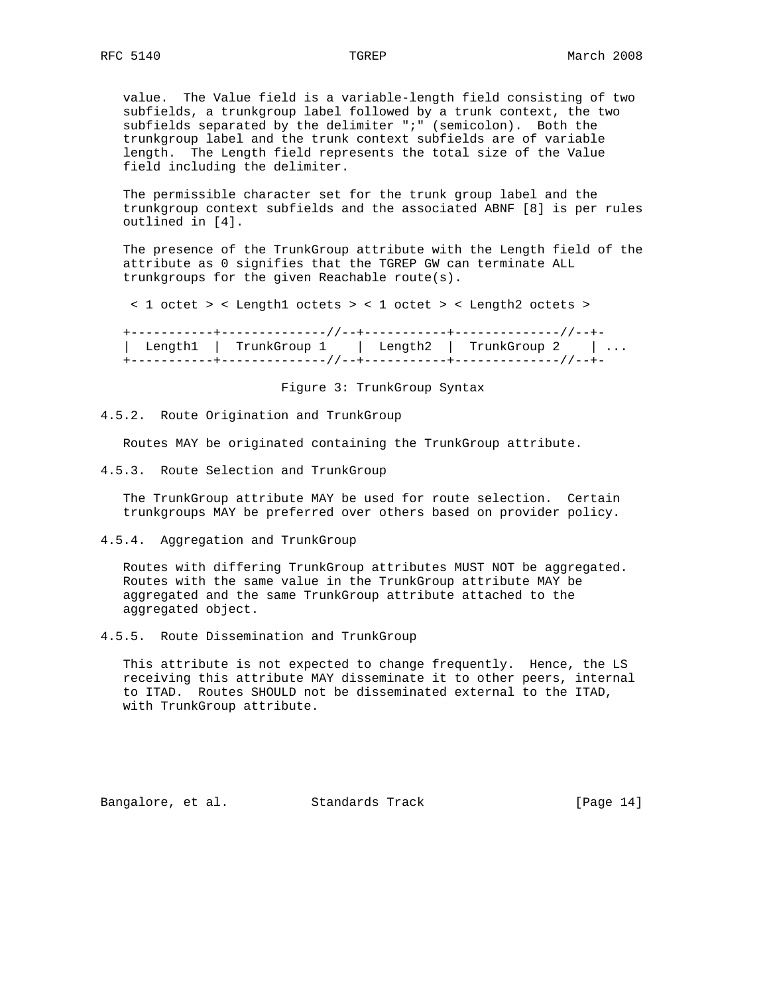value. The Value field is a variable-length field consisting of two subfields, a trunkgroup label followed by a trunk context, the two subfields separated by the delimiter ";" (semicolon). Both the trunkgroup label and the trunk context subfields are of variable length. The Length field represents the total size of the Value field including the delimiter.

 The permissible character set for the trunk group label and the trunkgroup context subfields and the associated ABNF [8] is per rules outlined in [4].

 The presence of the TrunkGroup attribute with the Length field of the attribute as 0 signifies that the TGREP GW can terminate ALL trunkgroups for the given Reachable route(s).

< 1 octet > < Length1 octets > < 1 octet > < Length2 octets >

 +-----------+--------------//--+-----------+--------------//--+- | Length1 | TrunkGroup 1 | Length2 | TrunkGroup 2 | ... +-----------+--------------//--+-----------+--------------//--+-

Figure 3: TrunkGroup Syntax

4.5.2. Route Origination and TrunkGroup

Routes MAY be originated containing the TrunkGroup attribute.

4.5.3. Route Selection and TrunkGroup

 The TrunkGroup attribute MAY be used for route selection. Certain trunkgroups MAY be preferred over others based on provider policy.

4.5.4. Aggregation and TrunkGroup

 Routes with differing TrunkGroup attributes MUST NOT be aggregated. Routes with the same value in the TrunkGroup attribute MAY be aggregated and the same TrunkGroup attribute attached to the aggregated object.

4.5.5. Route Dissemination and TrunkGroup

 This attribute is not expected to change frequently. Hence, the LS receiving this attribute MAY disseminate it to other peers, internal to ITAD. Routes SHOULD not be disseminated external to the ITAD, with TrunkGroup attribute.

Bangalore, et al. Standards Track [Page 14]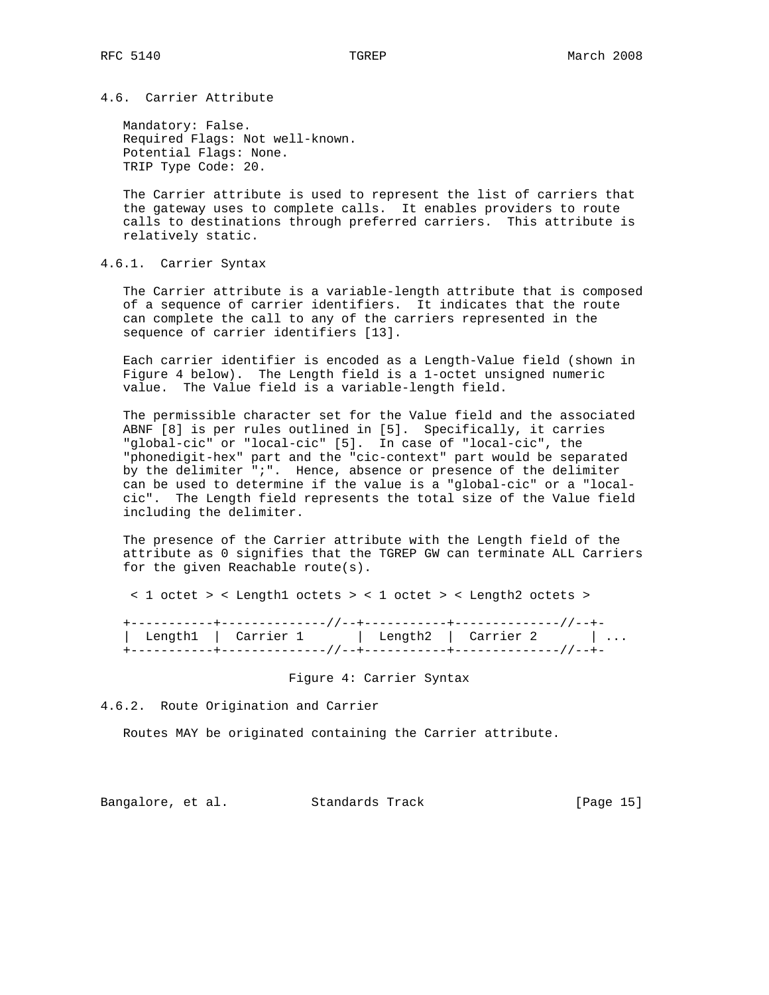# 4.6. Carrier Attribute

 Mandatory: False. Required Flags: Not well-known. Potential Flags: None. TRIP Type Code: 20.

 The Carrier attribute is used to represent the list of carriers that the gateway uses to complete calls. It enables providers to route calls to destinations through preferred carriers. This attribute is relatively static.

4.6.1. Carrier Syntax

 The Carrier attribute is a variable-length attribute that is composed of a sequence of carrier identifiers. It indicates that the route can complete the call to any of the carriers represented in the sequence of carrier identifiers [13].

 Each carrier identifier is encoded as a Length-Value field (shown in Figure 4 below). The Length field is a 1-octet unsigned numeric value. The Value field is a variable-length field.

 The permissible character set for the Value field and the associated ABNF [8] is per rules outlined in [5]. Specifically, it carries "global-cic" or "local-cic" [5]. In case of "local-cic", the "phonedigit-hex" part and the "cic-context" part would be separated by the delimiter ";". Hence, absence or presence of the delimiter can be used to determine if the value is a "global-cic" or a "local cic". The Length field represents the total size of the Value field including the delimiter.

 The presence of the Carrier attribute with the Length field of the attribute as 0 signifies that the TGREP GW can terminate ALL Carriers for the given Reachable route(s).

< 1 octet > < Length1 octets > < 1 octet > < Length2 octets >

 +-----------+--------------//--+-----------+--------------//--+- | Length1 | Carrier 1 | Length2 | Carrier 2 | ... +-----------+--------------//--+-----------+--------------//--+-

Figure 4: Carrier Syntax

4.6.2. Route Origination and Carrier

Routes MAY be originated containing the Carrier attribute.

Bangalore, et al. Standards Track [Page 15]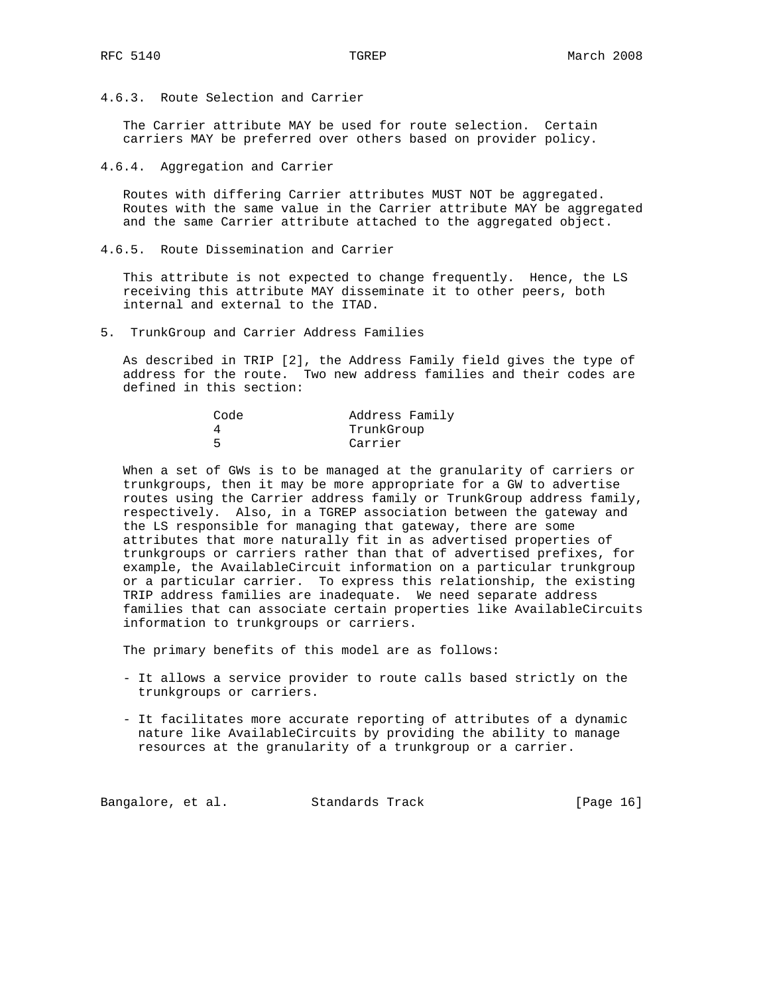4.6.3. Route Selection and Carrier

 The Carrier attribute MAY be used for route selection. Certain carriers MAY be preferred over others based on provider policy.

4.6.4. Aggregation and Carrier

 Routes with differing Carrier attributes MUST NOT be aggregated. Routes with the same value in the Carrier attribute MAY be aggregated and the same Carrier attribute attached to the aggregated object.

4.6.5. Route Dissemination and Carrier

 This attribute is not expected to change frequently. Hence, the LS receiving this attribute MAY disseminate it to other peers, both internal and external to the ITAD.

5. TrunkGroup and Carrier Address Families

 As described in TRIP [2], the Address Family field gives the type of address for the route. Two new address families and their codes are defined in this section:

| Code | Address Family |
|------|----------------|
|      | TrunkGroup     |
|      | Carrier        |

 When a set of GWs is to be managed at the granularity of carriers or trunkgroups, then it may be more appropriate for a GW to advertise routes using the Carrier address family or TrunkGroup address family, respectively. Also, in a TGREP association between the gateway and the LS responsible for managing that gateway, there are some attributes that more naturally fit in as advertised properties of trunkgroups or carriers rather than that of advertised prefixes, for example, the AvailableCircuit information on a particular trunkgroup or a particular carrier. To express this relationship, the existing TRIP address families are inadequate. We need separate address families that can associate certain properties like AvailableCircuits information to trunkgroups or carriers.

The primary benefits of this model are as follows:

- It allows a service provider to route calls based strictly on the trunkgroups or carriers.
- It facilitates more accurate reporting of attributes of a dynamic nature like AvailableCircuits by providing the ability to manage resources at the granularity of a trunkgroup or a carrier.

Bangalore, et al. Standards Track [Page 16]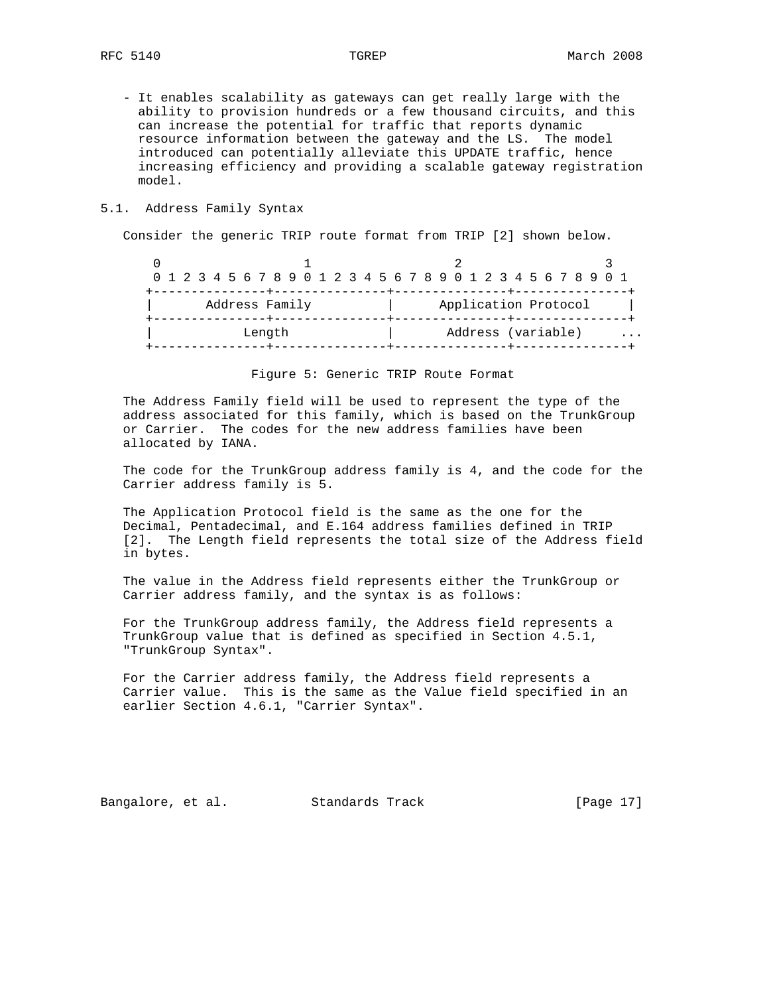- It enables scalability as gateways can get really large with the ability to provision hundreds or a few thousand circuits, and this can increase the potential for traffic that reports dynamic resource information between the gateway and the LS. The model introduced can potentially alleviate this UPDATE traffic, hence increasing efficiency and providing a scalable gateway registration model.

## 5.1. Address Family Syntax

Consider the generic TRIP route format from TRIP [2] shown below.

|                | 0 1 2 3 4 5 6 7 8 9 0 1 2 3 4 5 6 7 8 9 0 1 2 3 4 5 6 7 8 9 0 1 |
|----------------|-----------------------------------------------------------------|
| Address Family | Application Protocol                                            |
| Length         | Address (variable)<br>$\cdots$                                  |

Figure 5: Generic TRIP Route Format

 The Address Family field will be used to represent the type of the address associated for this family, which is based on the TrunkGroup or Carrier. The codes for the new address families have been allocated by IANA.

 The code for the TrunkGroup address family is 4, and the code for the Carrier address family is 5.

 The Application Protocol field is the same as the one for the Decimal, Pentadecimal, and E.164 address families defined in TRIP [2]. The Length field represents the total size of the Address field in bytes.

 The value in the Address field represents either the TrunkGroup or Carrier address family, and the syntax is as follows:

 For the TrunkGroup address family, the Address field represents a TrunkGroup value that is defined as specified in Section 4.5.1, "TrunkGroup Syntax".

 For the Carrier address family, the Address field represents a Carrier value. This is the same as the Value field specified in an earlier Section 4.6.1, "Carrier Syntax".

Bangalore, et al. Standards Track [Page 17]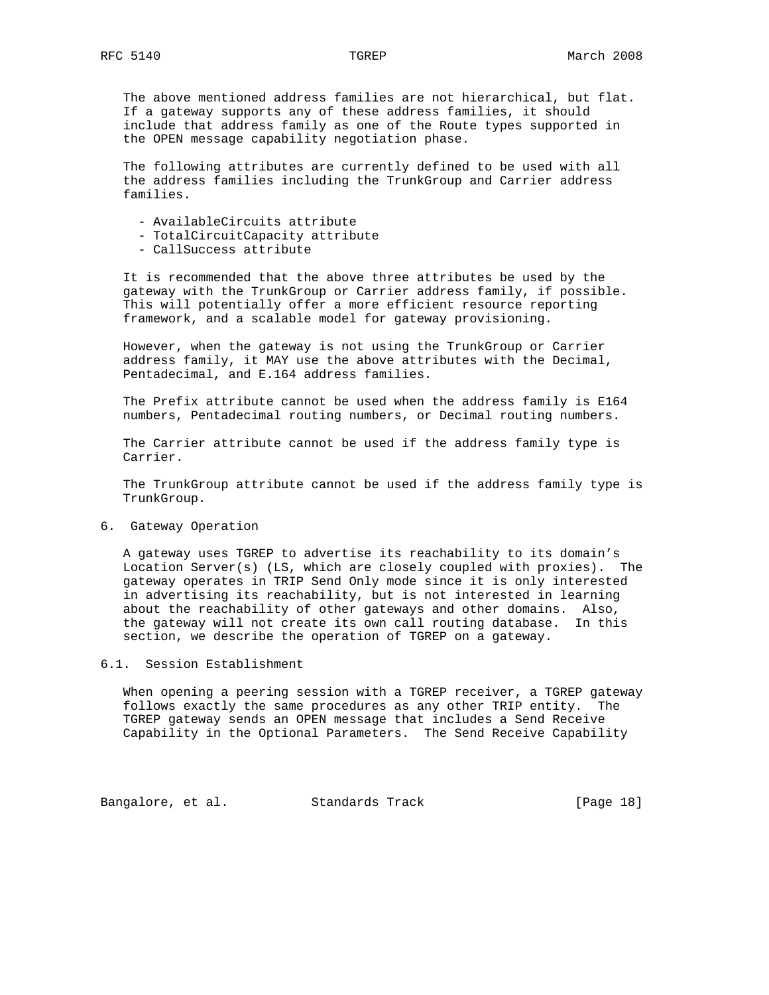The above mentioned address families are not hierarchical, but flat. If a gateway supports any of these address families, it should include that address family as one of the Route types supported in the OPEN message capability negotiation phase.

 The following attributes are currently defined to be used with all the address families including the TrunkGroup and Carrier address families.

- AvailableCircuits attribute
- TotalCircuitCapacity attribute
- CallSuccess attribute

 It is recommended that the above three attributes be used by the gateway with the TrunkGroup or Carrier address family, if possible. This will potentially offer a more efficient resource reporting framework, and a scalable model for gateway provisioning.

 However, when the gateway is not using the TrunkGroup or Carrier address family, it MAY use the above attributes with the Decimal, Pentadecimal, and E.164 address families.

 The Prefix attribute cannot be used when the address family is E164 numbers, Pentadecimal routing numbers, or Decimal routing numbers.

 The Carrier attribute cannot be used if the address family type is Carrier.

 The TrunkGroup attribute cannot be used if the address family type is TrunkGroup.

6. Gateway Operation

 A gateway uses TGREP to advertise its reachability to its domain's Location Server(s) (LS, which are closely coupled with proxies). The gateway operates in TRIP Send Only mode since it is only interested in advertising its reachability, but is not interested in learning about the reachability of other gateways and other domains. Also, the gateway will not create its own call routing database. In this section, we describe the operation of TGREP on a gateway.

6.1. Session Establishment

 When opening a peering session with a TGREP receiver, a TGREP gateway follows exactly the same procedures as any other TRIP entity. The TGREP gateway sends an OPEN message that includes a Send Receive Capability in the Optional Parameters. The Send Receive Capability

Bangalore, et al. Standards Track [Page 18]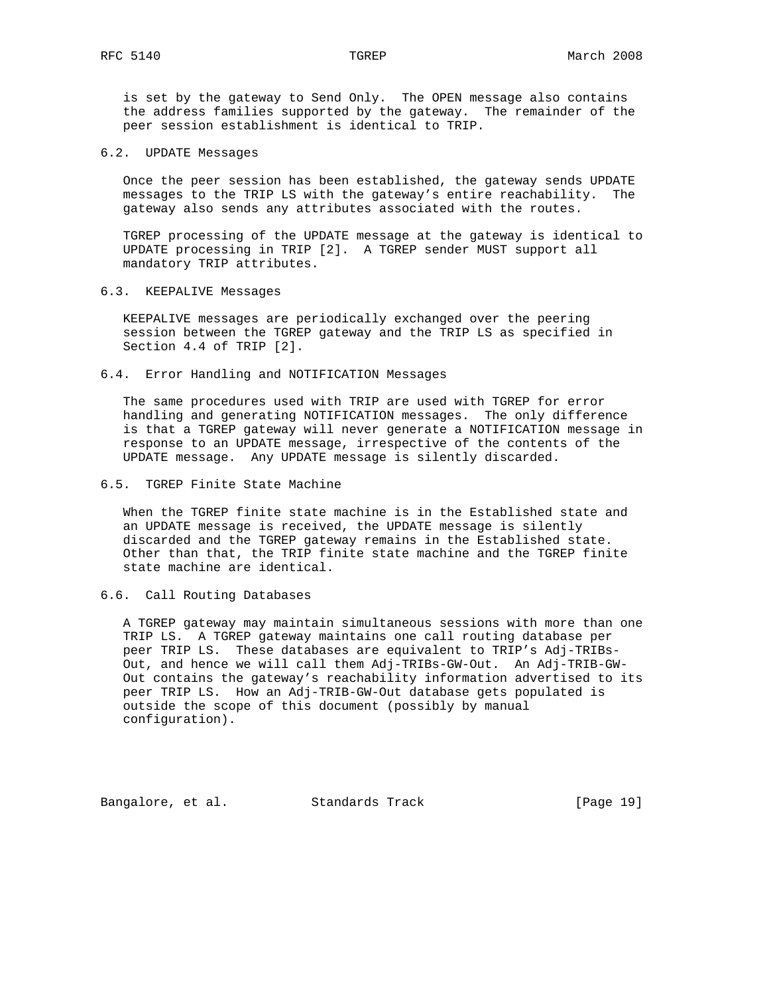is set by the gateway to Send Only. The OPEN message also contains the address families supported by the gateway. The remainder of the peer session establishment is identical to TRIP.

### 6.2. UPDATE Messages

 Once the peer session has been established, the gateway sends UPDATE messages to the TRIP LS with the gateway's entire reachability. The gateway also sends any attributes associated with the routes.

 TGREP processing of the UPDATE message at the gateway is identical to UPDATE processing in TRIP [2]. A TGREP sender MUST support all mandatory TRIP attributes.

# 6.3. KEEPALIVE Messages

 KEEPALIVE messages are periodically exchanged over the peering session between the TGREP gateway and the TRIP LS as specified in Section 4.4 of TRIP [2].

6.4. Error Handling and NOTIFICATION Messages

 The same procedures used with TRIP are used with TGREP for error handling and generating NOTIFICATION messages. The only difference is that a TGREP gateway will never generate a NOTIFICATION message in response to an UPDATE message, irrespective of the contents of the UPDATE message. Any UPDATE message is silently discarded.

## 6.5. TGREP Finite State Machine

 When the TGREP finite state machine is in the Established state and an UPDATE message is received, the UPDATE message is silently discarded and the TGREP gateway remains in the Established state. Other than that, the TRIP finite state machine and the TGREP finite state machine are identical.

## 6.6. Call Routing Databases

 A TGREP gateway may maintain simultaneous sessions with more than one TRIP LS. A TGREP gateway maintains one call routing database per peer TRIP LS. These databases are equivalent to TRIP's Adj-TRIBs- Out, and hence we will call them Adj-TRIBs-GW-Out. An Adj-TRIB-GW- Out contains the gateway's reachability information advertised to its peer TRIP LS. How an Adj-TRIB-GW-Out database gets populated is outside the scope of this document (possibly by manual configuration).

Bangalore, et al. Standards Track [Page 19]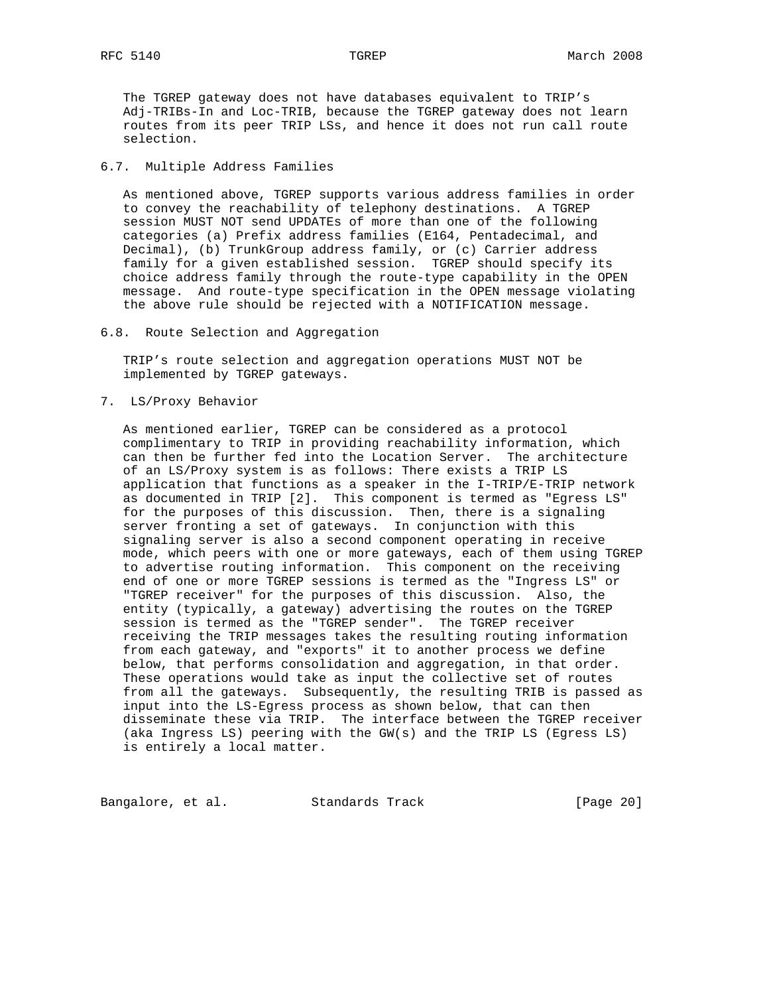The TGREP gateway does not have databases equivalent to TRIP's Adj-TRIBs-In and Loc-TRIB, because the TGREP gateway does not learn routes from its peer TRIP LSs, and hence it does not run call route selection.

### 6.7. Multiple Address Families

 As mentioned above, TGREP supports various address families in order to convey the reachability of telephony destinations. A TGREP session MUST NOT send UPDATEs of more than one of the following categories (a) Prefix address families (E164, Pentadecimal, and Decimal), (b) TrunkGroup address family, or (c) Carrier address family for a given established session. TGREP should specify its choice address family through the route-type capability in the OPEN message. And route-type specification in the OPEN message violating the above rule should be rejected with a NOTIFICATION message.

6.8. Route Selection and Aggregation

 TRIP's route selection and aggregation operations MUST NOT be implemented by TGREP gateways.

7. LS/Proxy Behavior

 As mentioned earlier, TGREP can be considered as a protocol complimentary to TRIP in providing reachability information, which can then be further fed into the Location Server. The architecture of an LS/Proxy system is as follows: There exists a TRIP LS application that functions as a speaker in the I-TRIP/E-TRIP network as documented in TRIP [2]. This component is termed as "Egress LS" for the purposes of this discussion. Then, there is a signaling server fronting a set of gateways. In conjunction with this signaling server is also a second component operating in receive mode, which peers with one or more gateways, each of them using TGREP to advertise routing information. This component on the receiving end of one or more TGREP sessions is termed as the "Ingress LS" or "TGREP receiver" for the purposes of this discussion. Also, the entity (typically, a gateway) advertising the routes on the TGREP session is termed as the "TGREP sender". The TGREP receiver receiving the TRIP messages takes the resulting routing information from each gateway, and "exports" it to another process we define below, that performs consolidation and aggregation, in that order. These operations would take as input the collective set of routes from all the gateways. Subsequently, the resulting TRIB is passed as input into the LS-Egress process as shown below, that can then disseminate these via TRIP. The interface between the TGREP receiver (aka Ingress LS) peering with the GW(s) and the TRIP LS (Egress LS) is entirely a local matter.

Bangalore, et al. Standards Track [Page 20]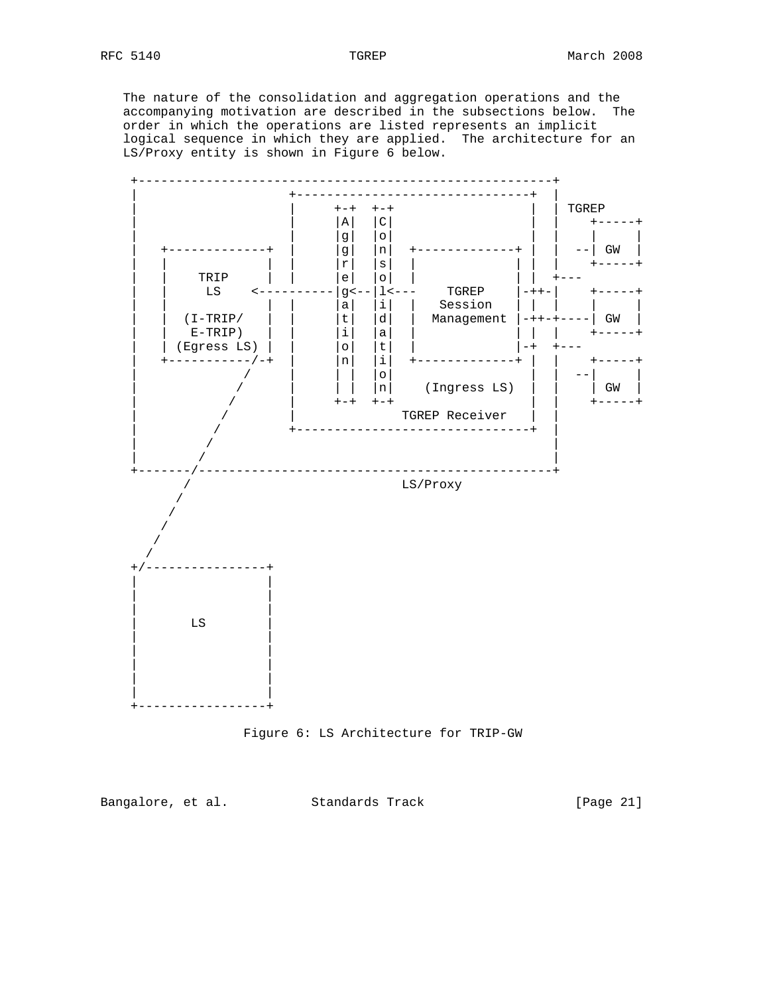The nature of the consolidation and aggregation operations and the accompanying motivation are described in the subsections below. The order in which the operations are listed represents an implicit logical sequence in which they are applied. The architecture for an LS/Proxy entity is shown in Figure 6 below.





Bangalore, et al. Standards Track [Page 21]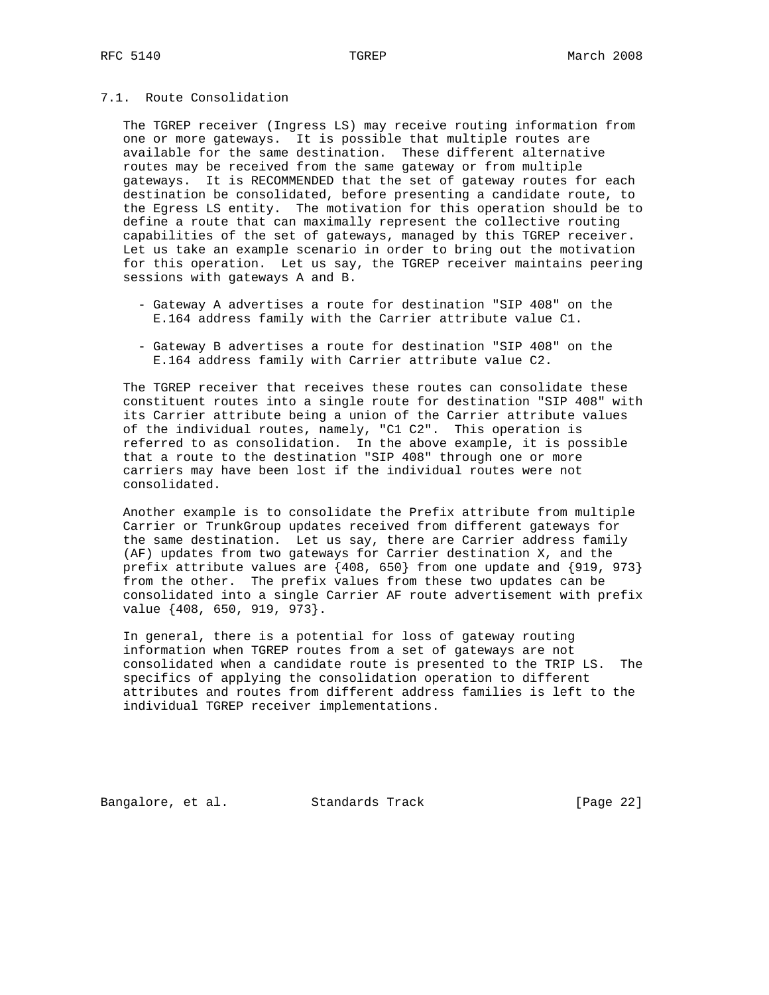## 7.1. Route Consolidation

 The TGREP receiver (Ingress LS) may receive routing information from one or more gateways. It is possible that multiple routes are available for the same destination. These different alternative routes may be received from the same gateway or from multiple gateways. It is RECOMMENDED that the set of gateway routes for each destination be consolidated, before presenting a candidate route, to the Egress LS entity. The motivation for this operation should be to define a route that can maximally represent the collective routing capabilities of the set of gateways, managed by this TGREP receiver. Let us take an example scenario in order to bring out the motivation for this operation. Let us say, the TGREP receiver maintains peering sessions with gateways A and B.

- Gateway A advertises a route for destination "SIP 408" on the E.164 address family with the Carrier attribute value C1.
- Gateway B advertises a route for destination "SIP 408" on the E.164 address family with Carrier attribute value C2.

 The TGREP receiver that receives these routes can consolidate these constituent routes into a single route for destination "SIP 408" with its Carrier attribute being a union of the Carrier attribute values of the individual routes, namely, "C1 C2". This operation is referred to as consolidation. In the above example, it is possible that a route to the destination "SIP 408" through one or more carriers may have been lost if the individual routes were not consolidated.

 Another example is to consolidate the Prefix attribute from multiple Carrier or TrunkGroup updates received from different gateways for the same destination. Let us say, there are Carrier address family (AF) updates from two gateways for Carrier destination X, and the prefix attribute values are {408, 650} from one update and {919, 973} from the other. The prefix values from these two updates can be consolidated into a single Carrier AF route advertisement with prefix value {408, 650, 919, 973}.

 In general, there is a potential for loss of gateway routing information when TGREP routes from a set of gateways are not consolidated when a candidate route is presented to the TRIP LS. The specifics of applying the consolidation operation to different attributes and routes from different address families is left to the individual TGREP receiver implementations.

Bangalore, et al. Standards Track [Page 22]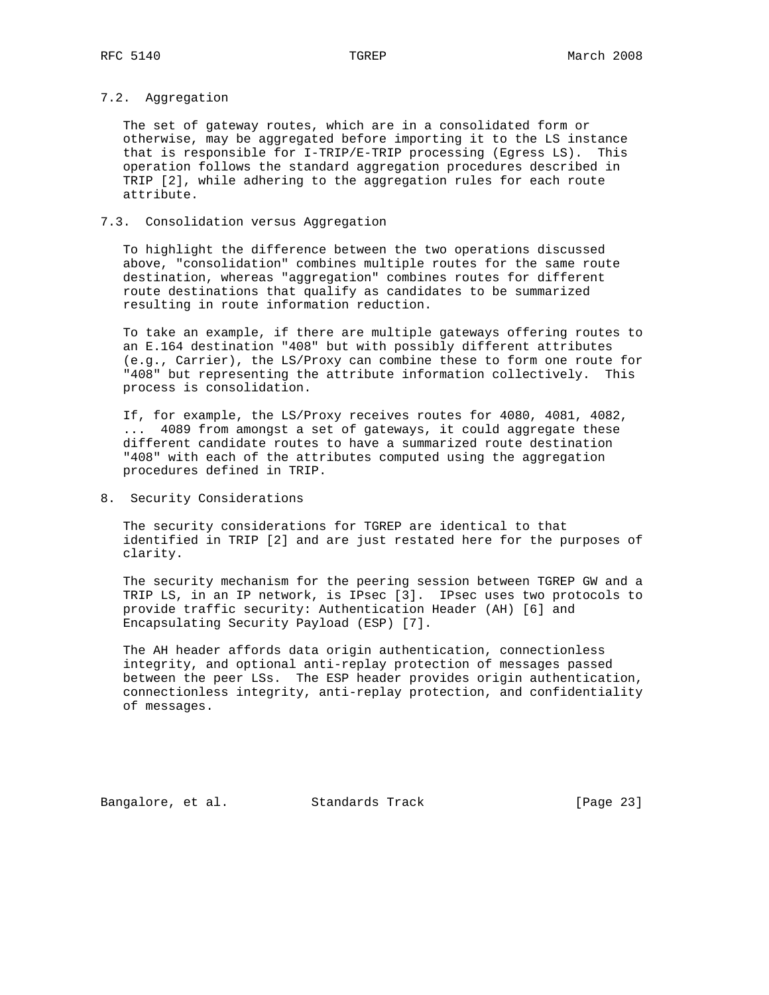# 7.2. Aggregation

 The set of gateway routes, which are in a consolidated form or otherwise, may be aggregated before importing it to the LS instance that is responsible for I-TRIP/E-TRIP processing (Egress LS). This operation follows the standard aggregation procedures described in TRIP [2], while adhering to the aggregation rules for each route attribute.

# 7.3. Consolidation versus Aggregation

 To highlight the difference between the two operations discussed above, "consolidation" combines multiple routes for the same route destination, whereas "aggregation" combines routes for different route destinations that qualify as candidates to be summarized resulting in route information reduction.

 To take an example, if there are multiple gateways offering routes to an E.164 destination "408" but with possibly different attributes (e.g., Carrier), the LS/Proxy can combine these to form one route for "408" but representing the attribute information collectively. This process is consolidation.

 If, for example, the LS/Proxy receives routes for 4080, 4081, 4082, ... 4089 from amongst a set of gateways, it could aggregate these different candidate routes to have a summarized route destination "408" with each of the attributes computed using the aggregation procedures defined in TRIP.

8. Security Considerations

 The security considerations for TGREP are identical to that identified in TRIP [2] and are just restated here for the purposes of clarity.

 The security mechanism for the peering session between TGREP GW and a TRIP LS, in an IP network, is IPsec [3]. IPsec uses two protocols to provide traffic security: Authentication Header (AH) [6] and Encapsulating Security Payload (ESP) [7].

 The AH header affords data origin authentication, connectionless integrity, and optional anti-replay protection of messages passed between the peer LSs. The ESP header provides origin authentication, connectionless integrity, anti-replay protection, and confidentiality of messages.

Bangalore, et al. Standards Track [Page 23]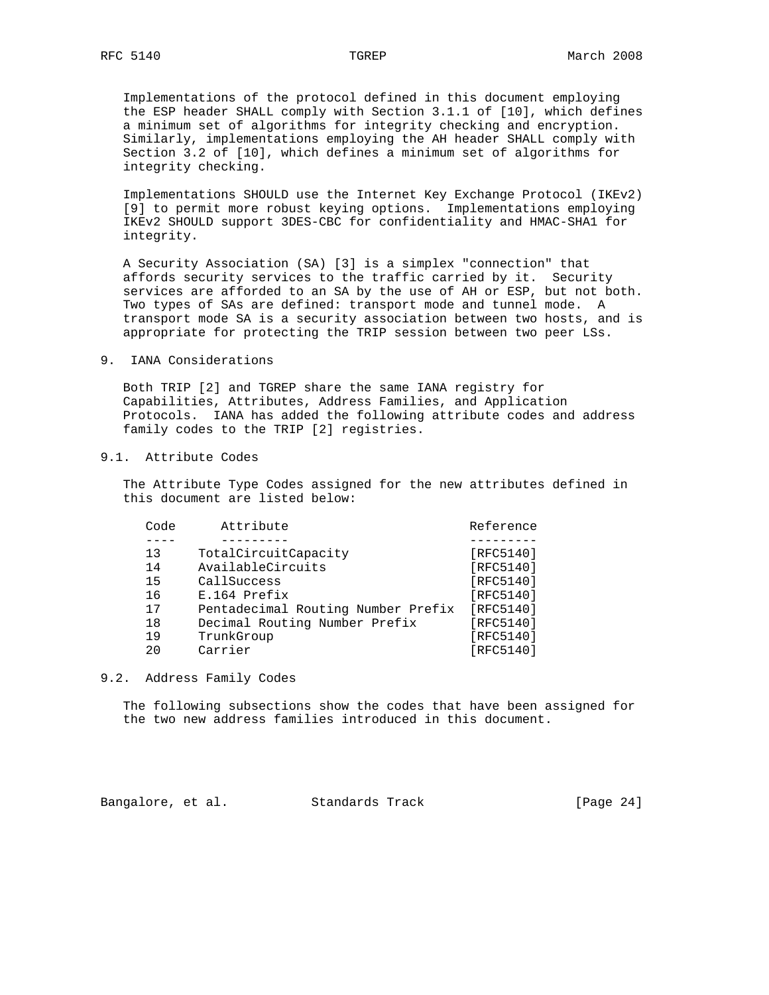Implementations of the protocol defined in this document employing the ESP header SHALL comply with Section 3.1.1 of [10], which defines a minimum set of algorithms for integrity checking and encryption. Similarly, implementations employing the AH header SHALL comply with Section 3.2 of [10], which defines a minimum set of algorithms for integrity checking.

 Implementations SHOULD use the Internet Key Exchange Protocol (IKEv2) [9] to permit more robust keying options. Implementations employing IKEv2 SHOULD support 3DES-CBC for confidentiality and HMAC-SHA1 for integrity.

 A Security Association (SA) [3] is a simplex "connection" that affords security services to the traffic carried by it. Security services are afforded to an SA by the use of AH or ESP, but not both. Two types of SAs are defined: transport mode and tunnel mode. A transport mode SA is a security association between two hosts, and is appropriate for protecting the TRIP session between two peer LSs.

9. IANA Considerations

 Both TRIP [2] and TGREP share the same IANA registry for Capabilities, Attributes, Address Families, and Application Protocols. IANA has added the following attribute codes and address family codes to the TRIP [2] registries.

# 9.1. Attribute Codes

 The Attribute Type Codes assigned for the new attributes defined in this document are listed below:

| Code | Attribute                          | Reference |
|------|------------------------------------|-----------|
|      |                                    |           |
| 13   | TotalCircuitCapacity               | [RFC5140] |
| 14   | AvailableCircuits                  | [RFC5140] |
| 15   | CallSuccess                        | [RFC5140] |
| 16   | E.164 Prefix                       | [RFC5140] |
| 17   | Pentadecimal Routing Number Prefix | [RFC5140] |
| 18   | Decimal Routing Number Prefix      | [RFC5140] |
| 19   | TrunkGroup                         | [RFC5140] |
| 20   | Carrier                            | [RFC5140] |
|      |                                    |           |

9.2. Address Family Codes

 The following subsections show the codes that have been assigned for the two new address families introduced in this document.

Bangalore, et al. Standards Track [Page 24]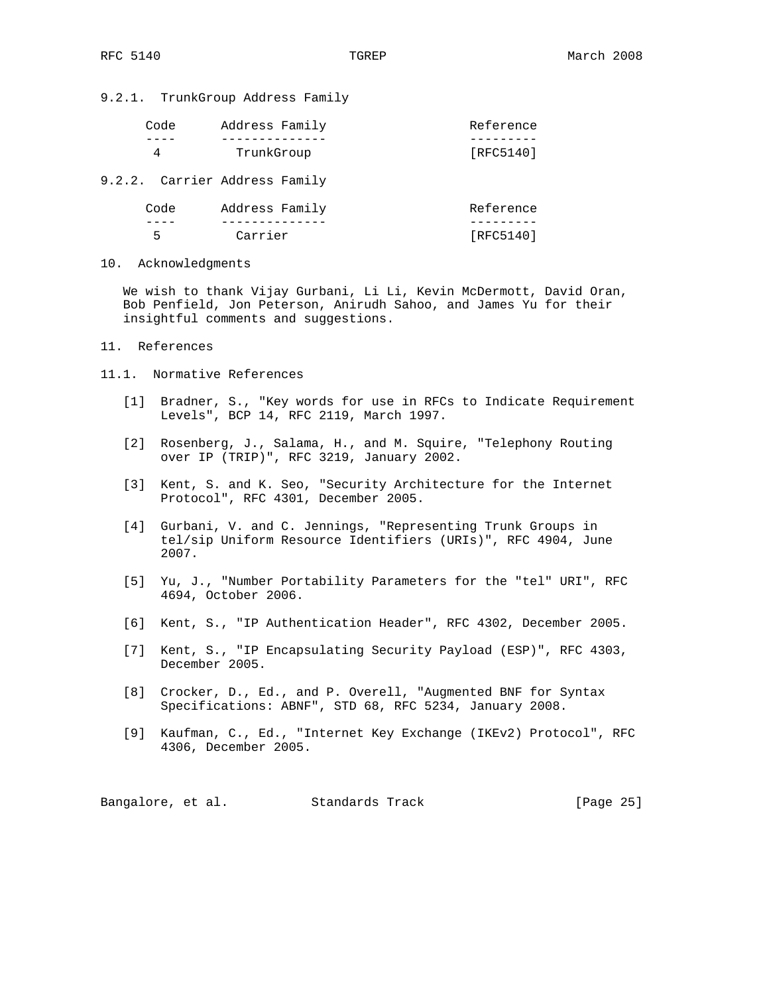9.2.1. TrunkGroup Address Family

| Code                          | Address Family | Reference |
|-------------------------------|----------------|-----------|
| 4                             | TrunkGroup     | [RFC5140] |
| 9.2.2. Carrier Address Family |                |           |
| Code                          | Address Family | Reference |
| 5                             | Carrier        | [RFC5140] |

10. Acknowledgments

 We wish to thank Vijay Gurbani, Li Li, Kevin McDermott, David Oran, Bob Penfield, Jon Peterson, Anirudh Sahoo, and James Yu for their insightful comments and suggestions.

- 11. References
- 11.1. Normative References
	- [1] Bradner, S., "Key words for use in RFCs to Indicate Requirement Levels", BCP 14, RFC 2119, March 1997.
- [2] Rosenberg, J., Salama, H., and M. Squire, "Telephony Routing over IP (TRIP)", RFC 3219, January 2002.
	- [3] Kent, S. and K. Seo, "Security Architecture for the Internet Protocol", RFC 4301, December 2005.
	- [4] Gurbani, V. and C. Jennings, "Representing Trunk Groups in tel/sip Uniform Resource Identifiers (URIs)", RFC 4904, June 2007.
	- [5] Yu, J., "Number Portability Parameters for the "tel" URI", RFC 4694, October 2006.
	- [6] Kent, S., "IP Authentication Header", RFC 4302, December 2005.
	- [7] Kent, S., "IP Encapsulating Security Payload (ESP)", RFC 4303, December 2005.
	- [8] Crocker, D., Ed., and P. Overell, "Augmented BNF for Syntax Specifications: ABNF", STD 68, RFC 5234, January 2008.
	- [9] Kaufman, C., Ed., "Internet Key Exchange (IKEv2) Protocol", RFC 4306, December 2005.

Bangalore, et al. Standards Track [Page 25]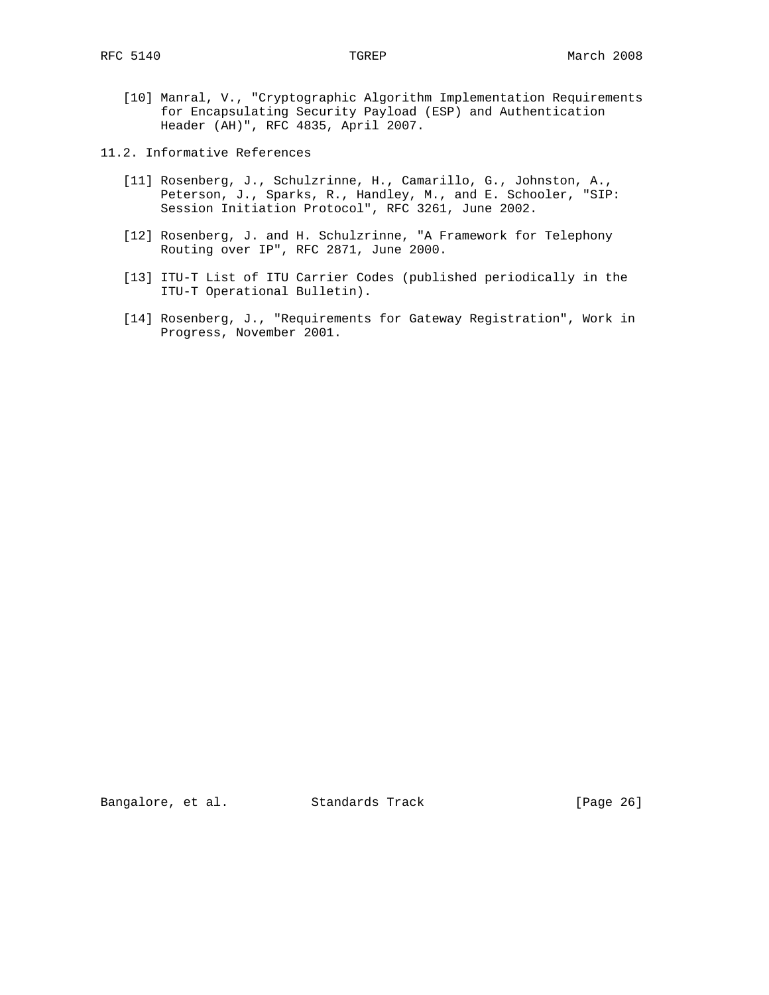- [10] Manral, V., "Cryptographic Algorithm Implementation Requirements for Encapsulating Security Payload (ESP) and Authentication Header (AH)", RFC 4835, April 2007.
- 11.2. Informative References
	- [11] Rosenberg, J., Schulzrinne, H., Camarillo, G., Johnston, A., Peterson, J., Sparks, R., Handley, M., and E. Schooler, "SIP: Session Initiation Protocol", RFC 3261, June 2002.
	- [12] Rosenberg, J. and H. Schulzrinne, "A Framework for Telephony Routing over IP", RFC 2871, June 2000.
	- [13] ITU-T List of ITU Carrier Codes (published periodically in the ITU-T Operational Bulletin).
	- [14] Rosenberg, J., "Requirements for Gateway Registration", Work in Progress, November 2001.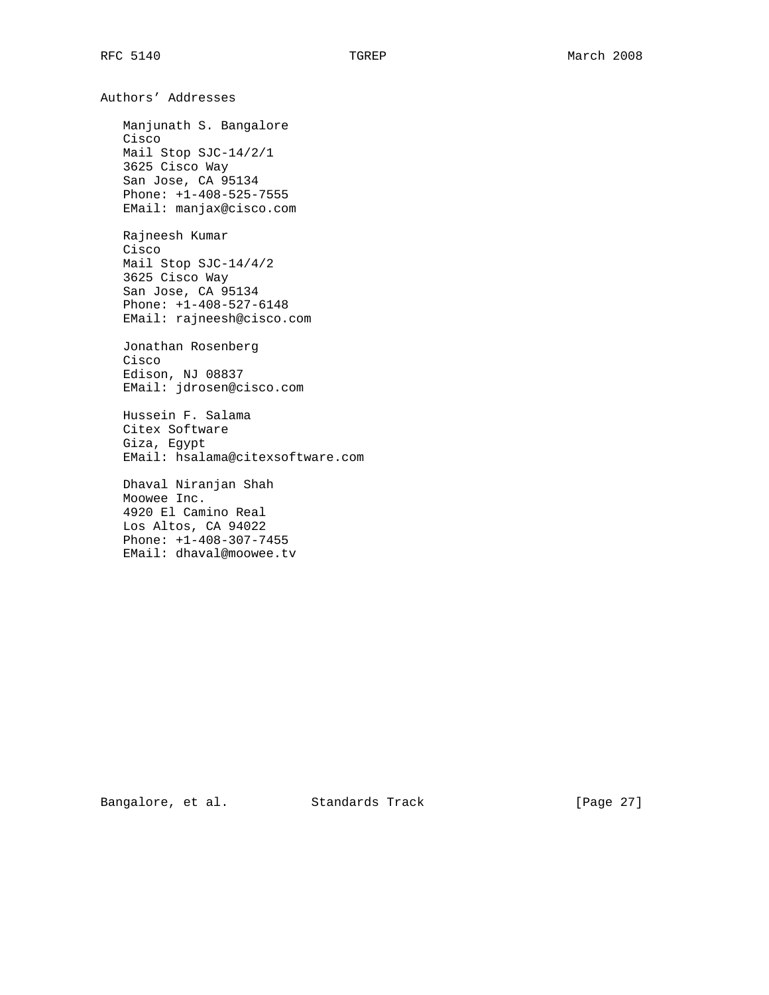Authors' Addresses Manjunath S. Bangalore Cisco Mail Stop SJC-14/2/1 3625 Cisco Way San Jose, CA 95134 Phone: +1-408-525-7555 EMail: manjax@cisco.com Rajneesh Kumar Cisco Mail Stop SJC-14/4/2 3625 Cisco Way San Jose, CA 95134 Phone: +1-408-527-6148 EMail: rajneesh@cisco.com Jonathan Rosenberg Cisco Edison, NJ 08837 EMail: jdrosen@cisco.com Hussein F. Salama Citex Software Giza, Egypt EMail: hsalama@citexsoftware.com Dhaval Niranjan Shah Moowee Inc. 4920 El Camino Real Los Altos, CA 94022 Phone: +1-408-307-7455 EMail: dhaval@moowee.tv

Bangalore, et al. Standards Track [Page 27]